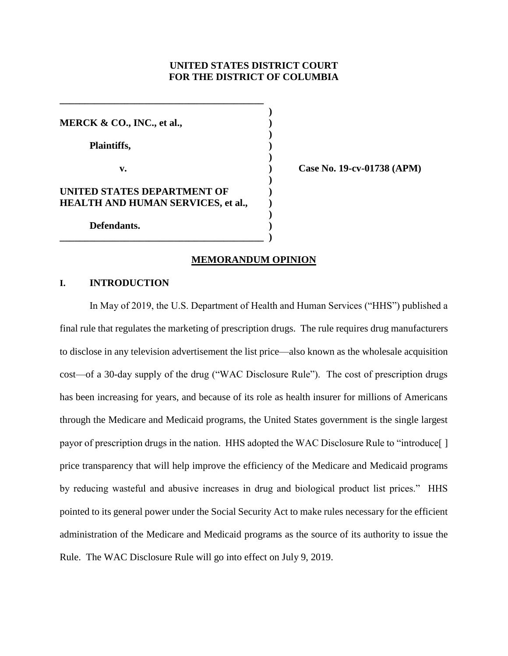# **UNITED STATES DISTRICT COURT FOR THE DISTRICT OF COLUMBIA**

**)**

**)**

**)**

**)**

**)**

**MERCK & CO., INC., et al., ) Plaintiffs, ) v. ) Case No. 19-cv-01738 (APM) UNITED STATES DEPARTMENT OF ) HEALTH AND HUMAN SERVICES, et al., ) Defendants. )**

**\_\_\_\_\_\_\_\_\_\_\_\_\_\_\_\_\_\_\_\_\_\_\_\_\_\_\_\_\_\_\_\_\_\_\_\_\_\_\_\_\_ )**

**\_\_\_\_\_\_\_\_\_\_\_\_\_\_\_\_\_\_\_\_\_\_\_\_\_\_\_\_\_\_\_\_\_\_\_\_\_\_\_\_\_** 

# **MEMORANDUM OPINION**

# **I. INTRODUCTION**

In May of 2019, the U.S. Department of Health and Human Services ("HHS") published a final rule that regulates the marketing of prescription drugs. The rule requires drug manufacturers to disclose in any television advertisement the list price—also known as the wholesale acquisition cost—of a 30-day supply of the drug ("WAC Disclosure Rule"). The cost of prescription drugs has been increasing for years, and because of its role as health insurer for millions of Americans through the Medicare and Medicaid programs, the United States government is the single largest payor of prescription drugs in the nation. HHS adopted the WAC Disclosure Rule to "introduce[ ] price transparency that will help improve the efficiency of the Medicare and Medicaid programs by reducing wasteful and abusive increases in drug and biological product list prices." HHS pointed to its general power under the Social Security Act to make rules necessary for the efficient administration of the Medicare and Medicaid programs as the source of its authority to issue the Rule. The WAC Disclosure Rule will go into effect on July 9, 2019.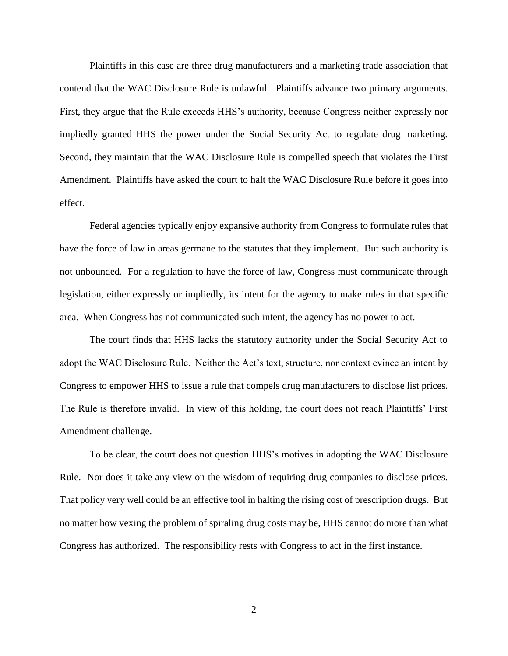Plaintiffs in this case are three drug manufacturers and a marketing trade association that contend that the WAC Disclosure Rule is unlawful. Plaintiffs advance two primary arguments. First, they argue that the Rule exceeds HHS's authority, because Congress neither expressly nor impliedly granted HHS the power under the Social Security Act to regulate drug marketing. Second, they maintain that the WAC Disclosure Rule is compelled speech that violates the First Amendment. Plaintiffs have asked the court to halt the WAC Disclosure Rule before it goes into effect.

Federal agencies typically enjoy expansive authority from Congress to formulate rules that have the force of law in areas germane to the statutes that they implement. But such authority is not unbounded. For a regulation to have the force of law, Congress must communicate through legislation, either expressly or impliedly, its intent for the agency to make rules in that specific area. When Congress has not communicated such intent, the agency has no power to act.

The court finds that HHS lacks the statutory authority under the Social Security Act to adopt the WAC Disclosure Rule. Neither the Act's text, structure, nor context evince an intent by Congress to empower HHS to issue a rule that compels drug manufacturers to disclose list prices. The Rule is therefore invalid. In view of this holding, the court does not reach Plaintiffs' First Amendment challenge.

To be clear, the court does not question HHS's motives in adopting the WAC Disclosure Rule. Nor does it take any view on the wisdom of requiring drug companies to disclose prices. That policy very well could be an effective tool in halting the rising cost of prescription drugs. But no matter how vexing the problem of spiraling drug costs may be, HHS cannot do more than what Congress has authorized. The responsibility rests with Congress to act in the first instance.

2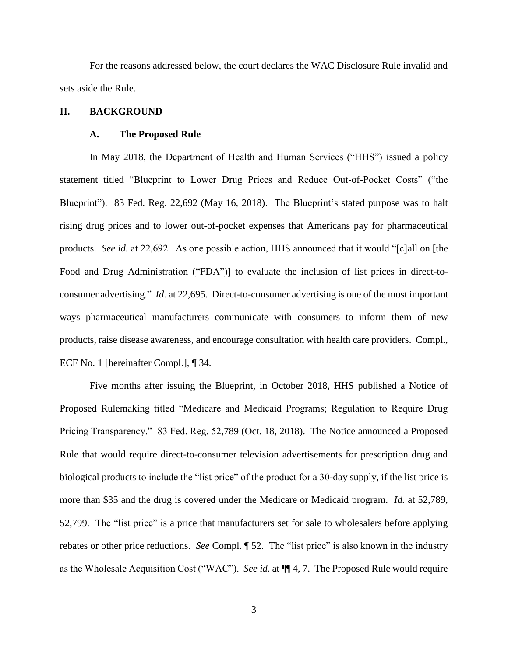For the reasons addressed below, the court declares the WAC Disclosure Rule invalid and sets aside the Rule.

# **II. BACKGROUND**

### **A. The Proposed Rule**

In May 2018, the Department of Health and Human Services ("HHS") issued a policy statement titled "Blueprint to Lower Drug Prices and Reduce Out-of-Pocket Costs" ("the Blueprint"). 83 Fed. Reg. 22,692 (May 16, 2018). The Blueprint's stated purpose was to halt rising drug prices and to lower out-of-pocket expenses that Americans pay for pharmaceutical products. *See id.* at 22,692. As one possible action, HHS announced that it would "[c]all on [the Food and Drug Administration ("FDA")] to evaluate the inclusion of list prices in direct-toconsumer advertising." *Id.* at 22,695. Direct-to-consumer advertising is one of the most important ways pharmaceutical manufacturers communicate with consumers to inform them of new products, raise disease awareness, and encourage consultation with health care providers. Compl., ECF No. 1 [hereinafter Compl.], ¶ 34.

Five months after issuing the Blueprint, in October 2018, HHS published a Notice of Proposed Rulemaking titled "Medicare and Medicaid Programs; Regulation to Require Drug Pricing Transparency." 83 Fed. Reg. 52,789 (Oct. 18, 2018). The Notice announced a Proposed Rule that would require direct-to-consumer television advertisements for prescription drug and biological products to include the "list price" of the product for a 30-day supply, if the list price is more than \$35 and the drug is covered under the Medicare or Medicaid program. *Id.* at 52,789, 52,799. The "list price" is a price that manufacturers set for sale to wholesalers before applying rebates or other price reductions. *See* Compl. ¶ 52. The "list price" is also known in the industry as the Wholesale Acquisition Cost ("WAC"). *See id.* at ¶¶ 4, 7. The Proposed Rule would require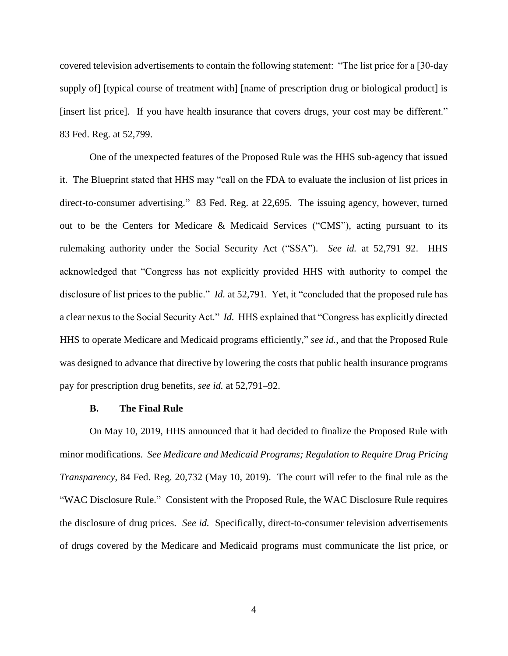covered television advertisements to contain the following statement: "The list price for a [30-day supply of [typical course of treatment with] [name of prescription drug or biological product] is [insert list price]. If you have health insurance that covers drugs, your cost may be different." 83 Fed. Reg. at 52,799.

One of the unexpected features of the Proposed Rule was the HHS sub-agency that issued it. The Blueprint stated that HHS may "call on the FDA to evaluate the inclusion of list prices in direct-to-consumer advertising." 83 Fed. Reg. at 22,695. The issuing agency, however, turned out to be the Centers for Medicare & Medicaid Services ("CMS"), acting pursuant to its rulemaking authority under the Social Security Act ("SSA"). *See id.* at 52,791–92. HHS acknowledged that "Congress has not explicitly provided HHS with authority to compel the disclosure of list prices to the public." *Id.* at 52,791. Yet, it "concluded that the proposed rule has a clear nexus to the Social Security Act." *Id.* HHS explained that "Congress has explicitly directed HHS to operate Medicare and Medicaid programs efficiently," *see id.*, and that the Proposed Rule was designed to advance that directive by lowering the costs that public health insurance programs pay for prescription drug benefits*, see id.* at 52,791–92.

# **B. The Final Rule**

On May 10, 2019, HHS announced that it had decided to finalize the Proposed Rule with minor modifications. *See Medicare and Medicaid Programs; Regulation to Require Drug Pricing Transparency*, 84 Fed. Reg. 20,732 (May 10, 2019). The court will refer to the final rule as the "WAC Disclosure Rule." Consistent with the Proposed Rule, the WAC Disclosure Rule requires the disclosure of drug prices. *See id.* Specifically, direct-to-consumer television advertisements of drugs covered by the Medicare and Medicaid programs must communicate the list price, or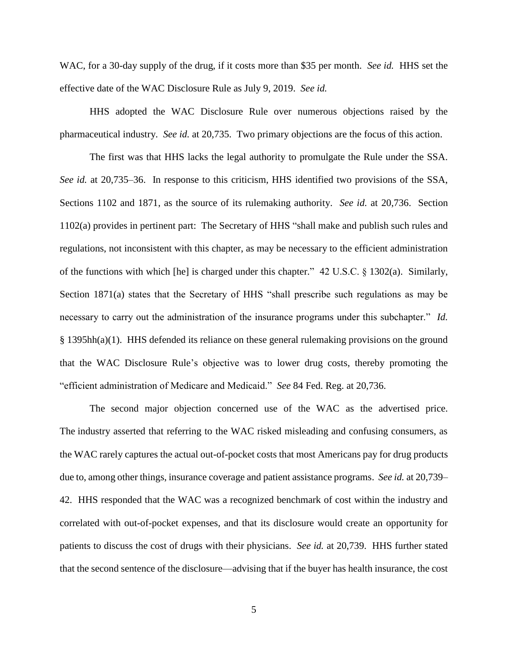WAC, for a 30-day supply of the drug, if it costs more than \$35 per month. *See id.* HHS set the effective date of the WAC Disclosure Rule as July 9, 2019. *See id.*

HHS adopted the WAC Disclosure Rule over numerous objections raised by the pharmaceutical industry. *See id.* at 20,735. Two primary objections are the focus of this action.

The first was that HHS lacks the legal authority to promulgate the Rule under the SSA. *See id.* at 20,735–36. In response to this criticism, HHS identified two provisions of the SSA, Sections 1102 and 1871, as the source of its rulemaking authority. *See id.* at 20,736. Section 1102(a) provides in pertinent part: The Secretary of HHS "shall make and publish such rules and regulations, not inconsistent with this chapter, as may be necessary to the efficient administration of the functions with which [he] is charged under this chapter." 42 U.S.C. § 1302(a). Similarly, Section 1871(a) states that the Secretary of HHS "shall prescribe such regulations as may be necessary to carry out the administration of the insurance programs under this subchapter." *Id.*  § 1395hh(a)(1). HHS defended its reliance on these general rulemaking provisions on the ground that the WAC Disclosure Rule's objective was to lower drug costs, thereby promoting the "efficient administration of Medicare and Medicaid." *See* 84 Fed. Reg. at 20,736.

The second major objection concerned use of the WAC as the advertised price. The industry asserted that referring to the WAC risked misleading and confusing consumers, as the WAC rarely captures the actual out-of-pocket costs that most Americans pay for drug products due to, among other things, insurance coverage and patient assistance programs. *See id.* at 20,739– 42. HHS responded that the WAC was a recognized benchmark of cost within the industry and correlated with out-of-pocket expenses, and that its disclosure would create an opportunity for patients to discuss the cost of drugs with their physicians. *See id.* at 20,739.HHS further stated that the second sentence of the disclosure—advising that if the buyer has health insurance, the cost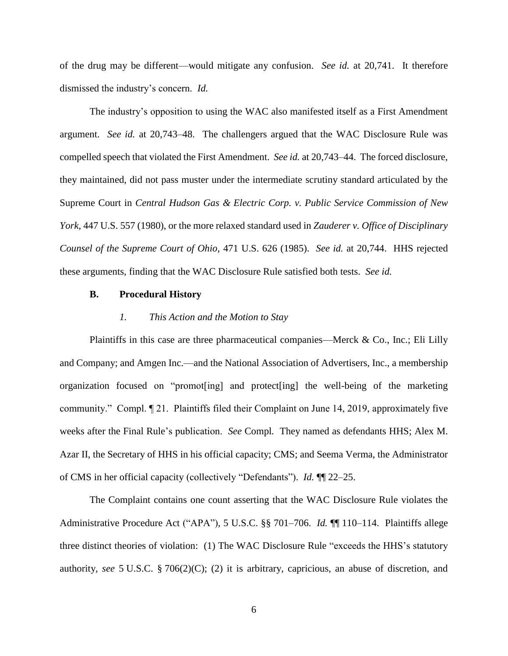of the drug may be different—would mitigate any confusion. *See id.* at 20,741. It therefore dismissed the industry's concern. *Id.*

The industry's opposition to using the WAC also manifested itself as a First Amendment argument. *See id.* at 20,743–48. The challengers argued that the WAC Disclosure Rule was compelled speech that violated the First Amendment. *See id.* at 20,743–44. The forced disclosure, they maintained, did not pass muster under the intermediate scrutiny standard articulated by the Supreme Court in *Central Hudson Gas & Electric Corp. v. Public Service Commission of New York*, 447 U.S. 557 (1980), or the more relaxed standard used in *Zauderer v. Office of Disciplinary Counsel of the Supreme Court of Ohio*, 471 U.S. 626 (1985). *See id.* at 20,744.HHS rejected these arguments, finding that the WAC Disclosure Rule satisfied both tests. *See id.* 

# **B. Procedural History**

### *1. This Action and the Motion to Stay*

Plaintiffs in this case are three pharmaceutical companies—Merck & Co., Inc.; Eli Lilly and Company; and Amgen Inc.—and the National Association of Advertisers, Inc., a membership organization focused on "promot[ing] and protect[ing] the well-being of the marketing community." Compl. ¶ 21. Plaintiffs filed their Complaint on June 14, 2019, approximately five weeks after the Final Rule's publication. *See* Compl*.* They named as defendants HHS; Alex M. Azar II, the Secretary of HHS in his official capacity; CMS; and Seema Verma, the Administrator of CMS in her official capacity (collectively "Defendants"). *Id.* ¶¶ 22–25.

The Complaint contains one count asserting that the WAC Disclosure Rule violates the Administrative Procedure Act ("APA"), 5 U.S.C. §§ 701–706. *Id.* ¶¶ 110–114. Plaintiffs allege three distinct theories of violation: (1) The WAC Disclosure Rule "exceeds the HHS's statutory authority, *see* 5 U.S.C. § 706(2)(C); (2) it is arbitrary, capricious, an abuse of discretion, and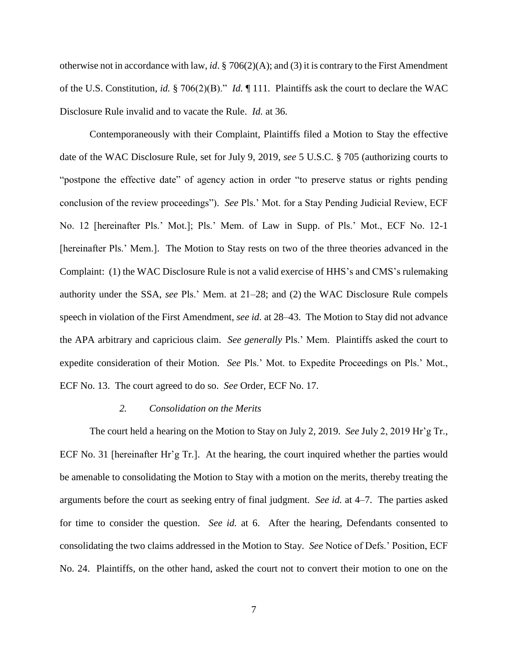otherwise not in accordance with law, *id*. § 706(2)(A); and (3) it is contrary to the First Amendment of the U.S. Constitution, *id.* § 706(2)(B)." *Id.* ¶ 111. Plaintiffs ask the court to declare the WAC Disclosure Rule invalid and to vacate the Rule. *Id.* at 36.

Contemporaneously with their Complaint, Plaintiffs filed a Motion to Stay the effective date of the WAC Disclosure Rule, set for July 9, 2019, *see* 5 U.S.C. § 705 (authorizing courts to "postpone the effective date" of agency action in order "to preserve status or rights pending conclusion of the review proceedings"). *See* Pls.' Mot. for a Stay Pending Judicial Review, ECF No. 12 [hereinafter Pls.' Mot.]; Pls.' Mem. of Law in Supp. of Pls.' Mot., ECF No. 12-1 [hereinafter Pls.' Mem.]. The Motion to Stay rests on two of the three theories advanced in the Complaint: (1) the WAC Disclosure Rule is not a valid exercise of HHS's and CMS's rulemaking authority under the SSA, *see* Pls.' Mem. at 21–28; and (2) the WAC Disclosure Rule compels speech in violation of the First Amendment, *see id.* at 28–43. The Motion to Stay did not advance the APA arbitrary and capricious claim. *See generally* Pls.' Mem. Plaintiffs asked the court to expedite consideration of their Motion. *See* Pls.' Mot. to Expedite Proceedings on Pls.' Mot., ECF No. 13. The court agreed to do so. *See* Order, ECF No. 17.

#### *2. Consolidation on the Merits*

The court held a hearing on the Motion to Stay on July 2, 2019. *See* July 2, 2019 Hr'g Tr., ECF No. 31 [hereinafter Hr'g Tr.]. At the hearing, the court inquired whether the parties would be amenable to consolidating the Motion to Stay with a motion on the merits, thereby treating the arguments before the court as seeking entry of final judgment. *See id.* at 4–7. The parties asked for time to consider the question. *See id.* at 6. After the hearing, Defendants consented to consolidating the two claims addressed in the Motion to Stay. *See* Notice of Defs.' Position, ECF No. 24. Plaintiffs, on the other hand, asked the court not to convert their motion to one on the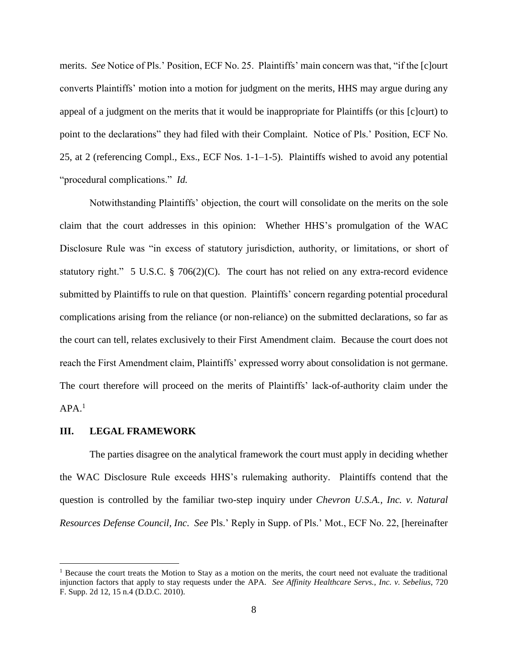merits. *See* Notice of Pls.' Position, ECF No. 25. Plaintiffs' main concern was that, "if the [c]ourt converts Plaintiffs' motion into a motion for judgment on the merits, HHS may argue during any appeal of a judgment on the merits that it would be inappropriate for Plaintiffs (or this [c]ourt) to point to the declarations" they had filed with their Complaint. Notice of Pls.' Position, ECF No. 25, at 2 (referencing Compl., Exs., ECF Nos. 1-1–1-5). Plaintiffs wished to avoid any potential "procedural complications." *Id.* 

Notwithstanding Plaintiffs' objection, the court will consolidate on the merits on the sole claim that the court addresses in this opinion: Whether HHS's promulgation of the WAC Disclosure Rule was "in excess of statutory jurisdiction, authority, or limitations, or short of statutory right." 5 U.S.C. § 706(2)(C). The court has not relied on any extra-record evidence submitted by Plaintiffs to rule on that question. Plaintiffs' concern regarding potential procedural complications arising from the reliance (or non-reliance) on the submitted declarations, so far as the court can tell, relates exclusively to their First Amendment claim. Because the court does not reach the First Amendment claim, Plaintiffs' expressed worry about consolidation is not germane. The court therefore will proceed on the merits of Plaintiffs' lack-of-authority claim under the  $APA.<sup>1</sup>$ 

### **III. LEGAL FRAMEWORK**

 $\overline{\phantom{a}}$ 

The parties disagree on the analytical framework the court must apply in deciding whether the WAC Disclosure Rule exceeds HHS's rulemaking authority. Plaintiffs contend that the question is controlled by the familiar two-step inquiry under *Chevron U.S.A., Inc. v. Natural Resources Defense Council, Inc*. *See* Pls.' Reply in Supp. of Pls.' Mot., ECF No. 22, [hereinafter

<sup>&</sup>lt;sup>1</sup> Because the court treats the Motion to Stay as a motion on the merits, the court need not evaluate the traditional injunction factors that apply to stay requests under the APA. *See Affinity Healthcare Servs., Inc. v. Sebelius*, 720 F. Supp. 2d 12, 15 n.4 (D.D.C. 2010).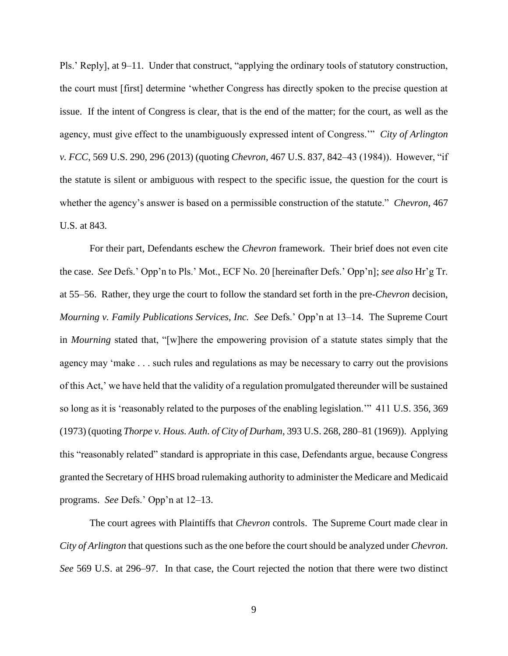Pls.' Reply], at 9–11. Under that construct, "applying the ordinary tools of statutory construction, the court must [first] determine 'whether Congress has directly spoken to the precise question at issue. If the intent of Congress is clear, that is the end of the matter; for the court, as well as the agency, must give effect to the unambiguously expressed intent of Congress.'" *City of Arlington v. FCC*, 569 U.S. 290, 296 (2013) (quoting *Chevron*, 467 U.S. 837, 842–43 (1984)). However, "if the statute is silent or ambiguous with respect to the specific issue, the question for the court is whether the agency's answer is based on a permissible construction of the statute." *Chevron*, 467 U.S. at 843.

For their part, Defendants eschew the *Chevron* framework. Their brief does not even cite the case. *See* Defs.' Opp'n to Pls.' Mot., ECF No. 20 [hereinafter Defs.' Opp'n]; *see also* Hr'g Tr. at 55–56. Rather, they urge the court to follow the standard set forth in the pre-*Chevron* decision, *Mourning v. Family Publications Services, Inc. See* Defs.' Opp'n at 13–14. The Supreme Court in *Mourning* stated that, "[w]here the empowering provision of a statute states simply that the agency may 'make . . . such rules and regulations as may be necessary to carry out the provisions of this Act,' we have held that the validity of a regulation promulgated thereunder will be sustained so long as it is 'reasonably related to the purposes of the enabling legislation.'" 411 U.S. 356, 369 (1973) (quoting *Thorpe v. Hous. Auth. of City of Durham*, 393 U.S. 268, 280–81 (1969)). Applying this "reasonably related" standard is appropriate in this case, Defendants argue, because Congress granted the Secretary of HHS broad rulemaking authority to administer the Medicare and Medicaid programs. *See* Defs.' Opp'n at 12–13.

The court agrees with Plaintiffs that *Chevron* controls. The Supreme Court made clear in *City of Arlington* that questions such as the one before the court should be analyzed under *Chevron*. *See* 569 U.S. at 296–97. In that case, the Court rejected the notion that there were two distinct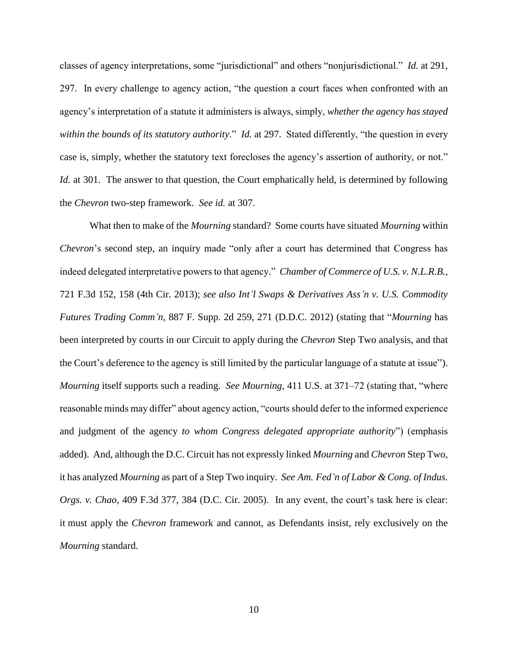classes of agency interpretations, some "jurisdictional" and others "nonjurisdictional." *Id.* at 291, 297. In every challenge to agency action, "the question a court faces when confronted with an agency's interpretation of a statute it administers is always, simply, *whether the agency has stayed within the bounds of its statutory authority*." *Id.* at 297.Stated differently, "the question in every case is, simply, whether the statutory text forecloses the agency's assertion of authority, or not." *Id.* at 301. The answer to that question, the Court emphatically held, is determined by following the *Chevron* two-step framework. *See id.* at 307.

What then to make of the *Mourning* standard? Some courts have situated *Mourning* within *Chevron*'s second step, an inquiry made "only after a court has determined that Congress has indeed delegated interpretative powers to that agency." *Chamber of Commerce of U.S. v. N.L.R.B.*, 721 F.3d 152, 158 (4th Cir. 2013); *see also Int'l Swaps & Derivatives Ass'n v. U.S. Commodity Futures Trading Comm'n*, 887 F. Supp. 2d 259, 271 (D.D.C. 2012) (stating that "*Mourning* has been interpreted by courts in our Circuit to apply during the *Chevron* Step Two analysis, and that the Court's deference to the agency is still limited by the particular language of a statute at issue"). *Mourning* itself supports such a reading. *See Mourning*, 411 U.S. at 371–72 (stating that, "where reasonable minds may differ" about agency action, "courts should defer to the informed experience and judgment of the agency *to whom Congress delegated appropriate authority*") (emphasis added). And, although the D.C. Circuit has not expressly linked *Mourning* and *Chevron* Step Two, it has analyzed *Mourning* as part of a Step Two inquiry. *See Am. Fed'n of Labor & Cong. of Indus. Orgs. v. Chao,* 409 F.3d 377, 384 (D.C. Cir. 2005). In any event, the court's task here is clear: it must apply the *Chevron* framework and cannot, as Defendants insist, rely exclusively on the *Mourning* standard.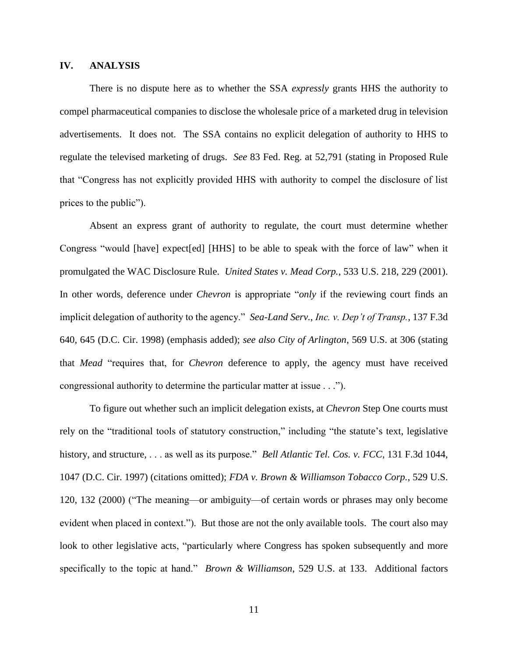# **IV. ANALYSIS**

There is no dispute here as to whether the SSA *expressly* grants HHS the authority to compel pharmaceutical companies to disclose the wholesale price of a marketed drug in television advertisements. It does not. The SSA contains no explicit delegation of authority to HHS to regulate the televised marketing of drugs. *See* 83 Fed. Reg. at 52,791 (stating in Proposed Rule that "Congress has not explicitly provided HHS with authority to compel the disclosure of list prices to the public").

Absent an express grant of authority to regulate, the court must determine whether Congress "would [have] expect[ed] [HHS] to be able to speak with the force of law" when it promulgated the WAC Disclosure Rule. *United States v. Mead Corp.*, 533 U.S. 218, 229 (2001). In other words, deference under *Chevron* is appropriate "*only* if the reviewing court finds an implicit delegation of authority to the agency." *Sea-Land Serv.*, *Inc. v. Dep't of Transp.*, 137 F.3d 640, 645 (D.C. Cir. 1998) (emphasis added); *see also City of Arlington*, 569 U.S. at 306 (stating that *Mead* "requires that, for *Chevron* deference to apply, the agency must have received congressional authority to determine the particular matter at issue . . .").

To figure out whether such an implicit delegation exists, at *Chevron* Step One courts must rely on the "traditional tools of statutory construction," including "the statute's text, legislative history, and structure, . . . as well as its purpose." *Bell Atlantic Tel. Cos. v. FCC*, 131 F.3d 1044, 1047 (D.C. Cir. 1997) (citations omitted); *FDA v. Brown & Williamson Tobacco Corp.*, 529 U.S. 120, 132 (2000) ("The meaning—or ambiguity—of certain words or phrases may only become evident when placed in context."). But those are not the only available tools. The court also may look to other legislative acts, "particularly where Congress has spoken subsequently and more specifically to the topic at hand." *Brown & Williamson*, 529 U.S. at 133. Additional factors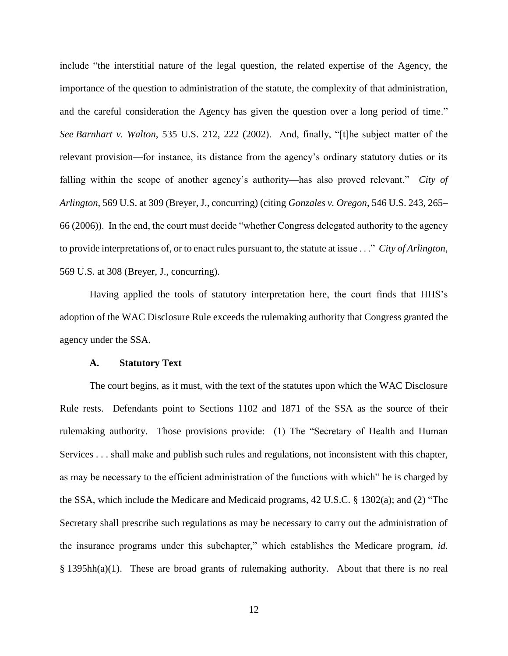include "the interstitial nature of the legal question, the related expertise of the Agency, the importance of the question to administration of the statute, the complexity of that administration, and the careful consideration the Agency has given the question over a long period of time." *See Barnhart v. Walton*, 535 U.S. 212, 222 (2002). And, finally, "[t]he subject matter of the relevant provision—for instance, its distance from the agency's ordinary statutory duties or its falling within the scope of another agency's authority—has also proved relevant." *City of Arlington*, 569 U.S. at 309 (Breyer, J., concurring) (citing *Gonzales v. Oregon*, 546 U.S. 243, 265– 66 (2006)). In the end, the court must decide "whether Congress delegated authority to the agency to provide interpretations of, or to enact rules pursuant to, the statute at issue . . ." *City of Arlington*, 569 U.S. at 308 (Breyer, J., concurring).

Having applied the tools of statutory interpretation here, the court finds that HHS's adoption of the WAC Disclosure Rule exceeds the rulemaking authority that Congress granted the agency under the SSA.

#### **A. Statutory Text**

The court begins, as it must, with the text of the statutes upon which the WAC Disclosure Rule rests. Defendants point to Sections 1102 and 1871 of the SSA as the source of their rulemaking authority. Those provisions provide: (1) The "Secretary of Health and Human Services . . . shall make and publish such rules and regulations, not inconsistent with this chapter, as may be necessary to the efficient administration of the functions with which" he is charged by the SSA, which include the Medicare and Medicaid programs, 42 U.S.C. § 1302(a); and (2) "The Secretary shall prescribe such regulations as may be necessary to carry out the administration of the insurance programs under this subchapter," which establishes the Medicare program, *id.*  § 1395hh(a)(1). These are broad grants of rulemaking authority. About that there is no real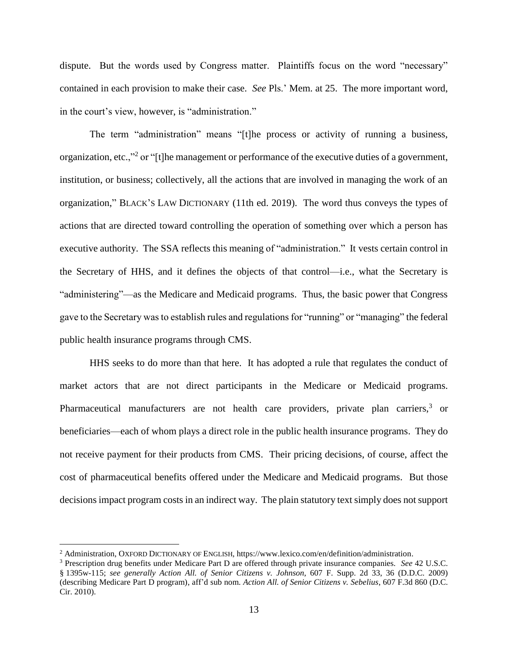dispute. But the words used by Congress matter. Plaintiffs focus on the word "necessary" contained in each provision to make their case. *See* Pls.' Mem. at 25. The more important word, in the court's view, however, is "administration."

The term "administration" means "[t]he process or activity of running a business, organization, etc.,"<sup>2</sup> or "[t]he management or performance of the executive duties of a government, institution, or business; collectively, all the actions that are involved in managing the work of an organization," BLACK'S LAW DICTIONARY (11th ed. 2019). The word thus conveys the types of actions that are directed toward controlling the operation of something over which a person has executive authority. The SSA reflects this meaning of "administration." It vests certain control in the Secretary of HHS, and it defines the objects of that control—i.e., what the Secretary is "administering"—as the Medicare and Medicaid programs. Thus, the basic power that Congress gave to the Secretary was to establish rules and regulations for "running" or "managing" the federal public health insurance programs through CMS.

HHS seeks to do more than that here. It has adopted a rule that regulates the conduct of market actors that are not direct participants in the Medicare or Medicaid programs. Pharmaceutical manufacturers are not health care providers, private plan carriers,<sup>3</sup> or beneficiaries—each of whom plays a direct role in the public health insurance programs. They do not receive payment for their products from CMS. Their pricing decisions, of course, affect the cost of pharmaceutical benefits offered under the Medicare and Medicaid programs. But those decisions impact program costs in an indirect way. The plain statutory text simply does not support

l

<sup>2</sup> Administration, OXFORD DICTIONARY OF ENGLISH, https://www.lexico.com/en/definition/administration.

<sup>3</sup> Prescription drug benefits under Medicare Part D are offered through private insurance companies. *See* 42 U.S.C. § 1395w-115; *see generally Action All. of Senior Citizens v. Johnson*, 607 F. Supp. 2d 33, 36 (D.D.C. 2009) (describing Medicare Part D program), aff'd sub nom. *Action All. of Senior Citizens v. Sebelius*, 607 F.3d 860 (D.C. Cir. 2010).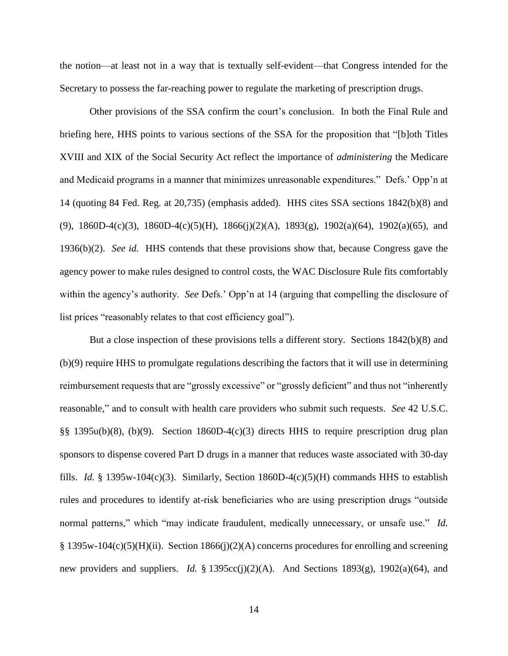the notion—at least not in a way that is textually self-evident—that Congress intended for the Secretary to possess the far-reaching power to regulate the marketing of prescription drugs.

Other provisions of the SSA confirm the court's conclusion. In both the Final Rule and briefing here, HHS points to various sections of the SSA for the proposition that "[b]oth Titles XVIII and XIX of the Social Security Act reflect the importance of *administering* the Medicare and Medicaid programs in a manner that minimizes unreasonable expenditures." Defs.' Opp'n at 14 (quoting 84 Fed. Reg. at 20,735) (emphasis added). HHS cites SSA sections 1842(b)(8) and (9), 1860D-4(c)(3), 1860D-4(c)(5)(H), 1866(j)(2)(A), 1893(g), 1902(a)(64), 1902(a)(65), and 1936(b)(2). *See id.* HHS contends that these provisions show that, because Congress gave the agency power to make rules designed to control costs, the WAC Disclosure Rule fits comfortably within the agency's authority. *See* Defs.' Opp'n at 14 (arguing that compelling the disclosure of list prices "reasonably relates to that cost efficiency goal").

But a close inspection of these provisions tells a different story. Sections 1842(b)(8) and (b)(9) require HHS to promulgate regulations describing the factors that it will use in determining reimbursement requests that are "grossly excessive" or "grossly deficient" and thus not "inherently reasonable," and to consult with health care providers who submit such requests. *See* 42 U.S.C. §§ 1395u(b)(8), (b)(9). Section 1860D-4(c)(3) directs HHS to require prescription drug plan sponsors to dispense covered Part D drugs in a manner that reduces waste associated with 30-day fills. *Id.* § 1395w-104(c)(3). Similarly, Section 1860D-4(c)(5)(H) commands HHS to establish rules and procedures to identify at-risk beneficiaries who are using prescription drugs "outside normal patterns," which "may indicate fraudulent, medically unnecessary, or unsafe use." *Id.* § 1395w-104(c)(5)(H)(ii). Section 1866(j)(2)(A) concerns procedures for enrolling and screening new providers and suppliers. *Id.* § 1395cc(j)(2)(A). And Sections 1893(g), 1902(a)(64), and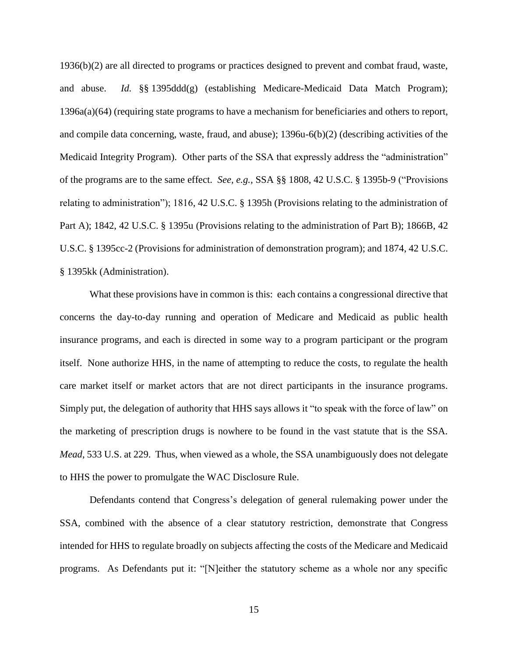1936(b)(2) are all directed to programs or practices designed to prevent and combat fraud, waste, and abuse. *Id.* §§ 1395ddd(g) (establishing Medicare-Medicaid Data Match Program); 1396a(a)(64) (requiring state programs to have a mechanism for beneficiaries and others to report, and compile data concerning, waste, fraud, and abuse); 1396u-6(b)(2) (describing activities of the Medicaid Integrity Program). Other parts of the SSA that expressly address the "administration" of the programs are to the same effect. *See, e.g.,* SSA §§ 1808, 42 U.S.C. § 1395b-9 ("Provisions relating to administration"); 1816, 42 U.S.C. § 1395h (Provisions relating to the administration of Part A); 1842, 42 U.S.C. § 1395u (Provisions relating to the administration of Part B); 1866B, 42 U.S.C. § 1395cc-2 (Provisions for administration of demonstration program); and 1874, 42 U.S.C. § 1395kk (Administration).

What these provisions have in common is this: each contains a congressional directive that concerns the day-to-day running and operation of Medicare and Medicaid as public health insurance programs, and each is directed in some way to a program participant or the program itself. None authorize HHS, in the name of attempting to reduce the costs, to regulate the health care market itself or market actors that are not direct participants in the insurance programs. Simply put, the delegation of authority that HHS says allows it "to speak with the force of law" on the marketing of prescription drugs is nowhere to be found in the vast statute that is the SSA. *Mead*, 533 U.S. at 229. Thus, when viewed as a whole, the SSA unambiguously does not delegate to HHS the power to promulgate the WAC Disclosure Rule.

Defendants contend that Congress's delegation of general rulemaking power under the SSA, combined with the absence of a clear statutory restriction, demonstrate that Congress intended for HHS to regulate broadly on subjects affecting the costs of the Medicare and Medicaid programs. As Defendants put it: "[N]either the statutory scheme as a whole nor any specific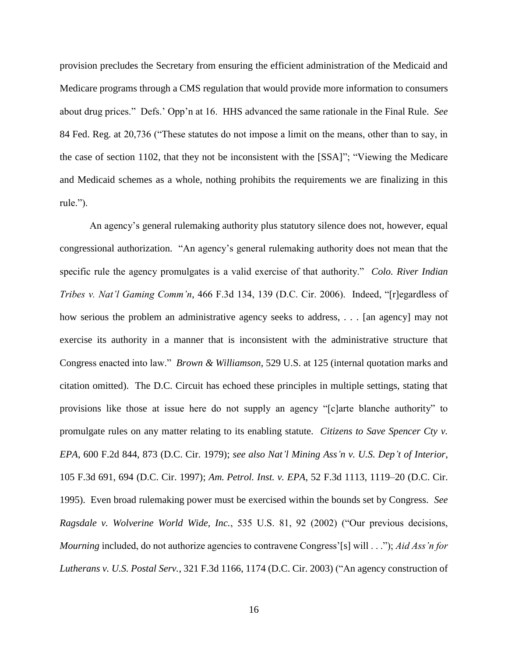provision precludes the Secretary from ensuring the efficient administration of the Medicaid and Medicare programs through a CMS regulation that would provide more information to consumers about drug prices." Defs.' Opp'n at 16. HHS advanced the same rationale in the Final Rule. *See*  84 Fed. Reg. at 20,736 ("These statutes do not impose a limit on the means, other than to say, in the case of section 1102, that they not be inconsistent with the [SSA]"; "Viewing the Medicare and Medicaid schemes as a whole, nothing prohibits the requirements we are finalizing in this rule.").

An agency's general rulemaking authority plus statutory silence does not, however, equal congressional authorization. "An agency's general rulemaking authority does not mean that the specific rule the agency promulgates is a valid exercise of that authority." *Colo. River Indian Tribes v. Nat'l Gaming Comm'n*, 466 F.3d 134, 139 (D.C. Cir. 2006). Indeed, "[r]egardless of how serious the problem an administrative agency seeks to address, . . . [an agency] may not exercise its authority in a manner that is inconsistent with the administrative structure that Congress enacted into law." *Brown & Williamson*, 529 U.S. at 125 (internal quotation marks and citation omitted). The D.C. Circuit has echoed these principles in multiple settings, stating that provisions like those at issue here do not supply an agency "[c]arte blanche authority" to promulgate rules on any matter relating to its enabling statute. *Citizens to Save Spencer Cty v. EPA*, 600 F.2d 844, 873 (D.C. Cir. 1979); *see also Nat'l Mining Ass'n v. U.S. Dep't of Interior*, 105 F.3d 691, 694 (D.C. Cir. 1997); *Am. Petrol. Inst. v. EPA*, 52 F.3d 1113, 1119–20 (D.C. Cir. 1995). Even broad rulemaking power must be exercised within the bounds set by Congress. *See Ragsdale v. Wolverine World Wide, Inc.*, 535 U.S. 81, 92 (2002) ("Our previous decisions, *Mourning* included, do not authorize agencies to contravene Congress'[s] will . . ."); *Aid Ass'n for Lutherans v. U.S. Postal Serv.*, 321 F.3d 1166, 1174 (D.C. Cir. 2003) ("An agency construction of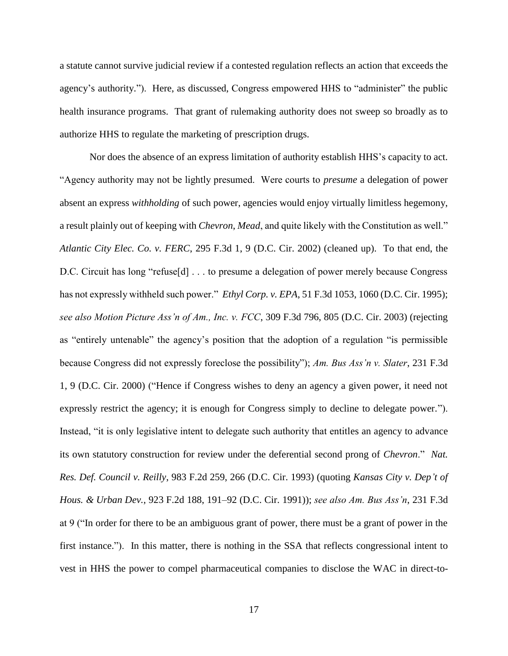a statute cannot survive judicial review if a contested regulation reflects an action that exceeds the agency's authority."). Here, as discussed, Congress empowered HHS to "administer" the public health insurance programs. That grant of rulemaking authority does not sweep so broadly as to authorize HHS to regulate the marketing of prescription drugs.

Nor does the absence of an express limitation of authority establish HHS's capacity to act. "Agency authority may not be lightly presumed. Were courts to *presume* a delegation of power absent an express *withholding* of such power, agencies would enjoy virtually limitless hegemony, a result plainly out of keeping with *Chevron*, *Mead*, and quite likely with the Constitution as well." *Atlantic City Elec. Co. v. FERC*, 295 F.3d 1, 9 (D.C. Cir. 2002) (cleaned up). To that end, the D.C. Circuit has long "refuse[d] . . . to presume a delegation of power merely because Congress has not expressly withheld such power." *Ethyl Corp. v. EPA*, 51 F.3d 1053, 1060 (D.C. Cir. 1995); *see also Motion Picture Ass'n of Am., Inc. v. FCC*, 309 F.3d 796, 805 (D.C. Cir. 2003) (rejecting as "entirely untenable" the agency's position that the adoption of a regulation "is permissible because Congress did not expressly foreclose the possibility"); *Am. Bus Ass'n v. Slater*, 231 F.3d 1, 9 (D.C. Cir. 2000) ("Hence if Congress wishes to deny an agency a given power, it need not expressly restrict the agency; it is enough for Congress simply to decline to delegate power."). Instead, "it is only legislative intent to delegate such authority that entitles an agency to advance its own statutory construction for review under the deferential second prong of *Chevron*." *Nat. Res. Def. Council v. Reilly*, 983 F.2d 259, 266 (D.C. Cir. 1993) (quoting *Kansas City v. Dep't of Hous. & Urban Dev.*, 923 F.2d 188, 191–92 (D.C. Cir. 1991)); *see also Am. Bus Ass'n*, 231 F.3d at 9 ("In order for there to be an ambiguous grant of power, there must be a grant of power in the first instance."). In this matter, there is nothing in the SSA that reflects congressional intent to vest in HHS the power to compel pharmaceutical companies to disclose the WAC in direct-to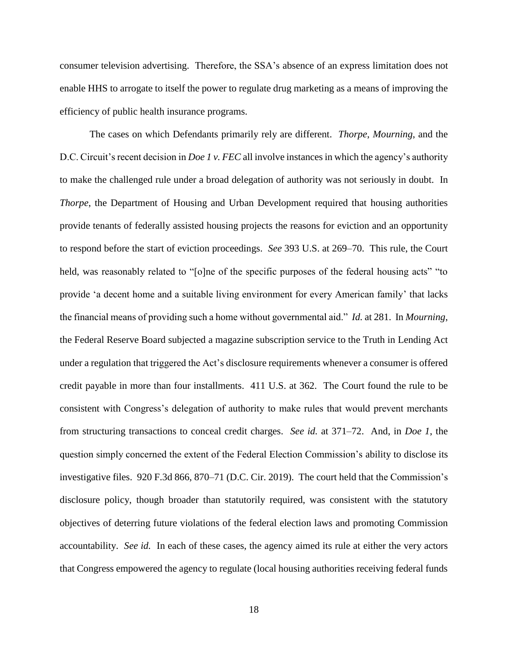consumer television advertising. Therefore, the SSA's absence of an express limitation does not enable HHS to arrogate to itself the power to regulate drug marketing as a means of improving the efficiency of public health insurance programs.

The cases on which Defendants primarily rely are different. *Thorpe*, *Mourning*, and the D.C. Circuit's recent decision in *Doe 1 v. FEC* all involve instances in which the agency's authority to make the challenged rule under a broad delegation of authority was not seriously in doubt. In *Thorpe*, the Department of Housing and Urban Development required that housing authorities provide tenants of federally assisted housing projects the reasons for eviction and an opportunity to respond before the start of eviction proceedings. *See* 393 U.S. at 269–70. This rule, the Court held, was reasonably related to "[o]ne of the specific purposes of the federal housing acts" "to provide 'a decent home and a suitable living environment for every American family' that lacks the financial means of providing such a home without governmental aid." *Id.* at 281. In *Mourning*, the Federal Reserve Board subjected a magazine subscription service to the Truth in Lending Act under a regulation that triggered the Act's disclosure requirements whenever a consumer is offered credit payable in more than four installments. 411 U.S. at 362. The Court found the rule to be consistent with Congress's delegation of authority to make rules that would prevent merchants from structuring transactions to conceal credit charges. *See id.* at 371–72. And, in *Doe 1*, the question simply concerned the extent of the Federal Election Commission's ability to disclose its investigative files. 920 F.3d 866, 870–71 (D.C. Cir. 2019). The court held that the Commission's disclosure policy, though broader than statutorily required, was consistent with the statutory objectives of deterring future violations of the federal election laws and promoting Commission accountability. *See id.* In each of these cases, the agency aimed its rule at either the very actors that Congress empowered the agency to regulate (local housing authorities receiving federal funds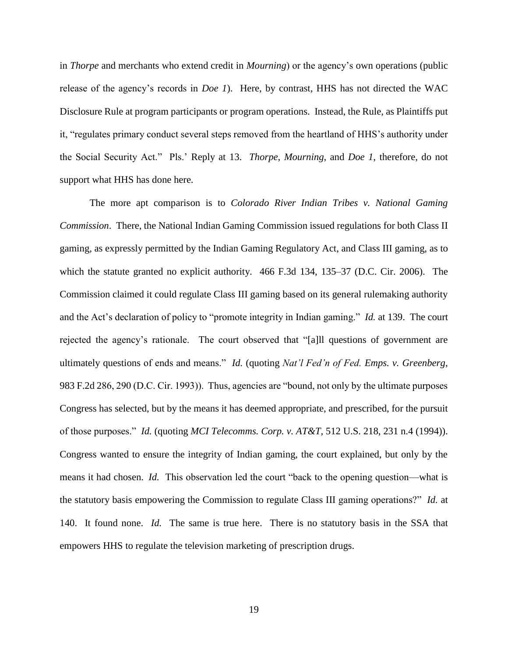in *Thorpe* and merchants who extend credit in *Mourning*) or the agency's own operations (public release of the agency's records in *Doe 1*). Here, by contrast, HHS has not directed the WAC Disclosure Rule at program participants or program operations. Instead, the Rule, as Plaintiffs put it, "regulates primary conduct several steps removed from the heartland of HHS's authority under the Social Security Act." Pls.' Reply at 13. *Thorpe*, *Mourning*, and *Doe 1*, therefore, do not support what HHS has done here.

The more apt comparison is to *Colorado River Indian Tribes v. National Gaming Commission*. There, the National Indian Gaming Commission issued regulations for both Class II gaming, as expressly permitted by the Indian Gaming Regulatory Act, and Class III gaming, as to which the statute granted no explicit authority. 466 F.3d 134, 135–37 (D.C. Cir. 2006). The Commission claimed it could regulate Class III gaming based on its general rulemaking authority and the Act's declaration of policy to "promote integrity in Indian gaming." *Id.* at 139. The court rejected the agency's rationale. The court observed that "[a]ll questions of government are ultimately questions of ends and means." *Id.* (quoting *Nat'l Fed'n of Fed. Emps. v. Greenberg*, 983 F.2d 286, 290 (D.C. Cir. 1993)). Thus, agencies are "bound, not only by the ultimate purposes Congress has selected, but by the means it has deemed appropriate, and prescribed, for the pursuit of those purposes." *Id.* (quoting *MCI Telecomms. Corp. v. AT&T*, 512 U.S. 218, 231 n.4 (1994)). Congress wanted to ensure the integrity of Indian gaming, the court explained, but only by the means it had chosen. *Id.* This observation led the court "back to the opening question—what is the statutory basis empowering the Commission to regulate Class III gaming operations?" *Id.* at 140. It found none. *Id.* The same is true here. There is no statutory basis in the SSA that empowers HHS to regulate the television marketing of prescription drugs.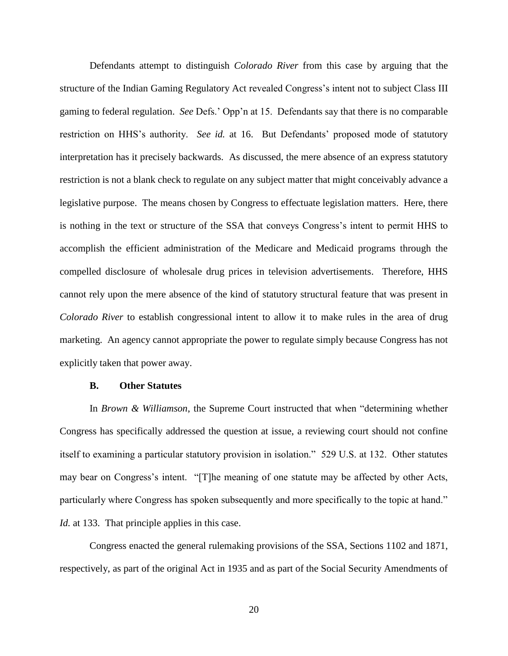Defendants attempt to distinguish *Colorado River* from this case by arguing that the structure of the Indian Gaming Regulatory Act revealed Congress's intent not to subject Class III gaming to federal regulation. *See* Defs.' Opp'n at 15. Defendants say that there is no comparable restriction on HHS's authority. *See id.* at 16. But Defendants' proposed mode of statutory interpretation has it precisely backwards. As discussed, the mere absence of an express statutory restriction is not a blank check to regulate on any subject matter that might conceivably advance a legislative purpose. The means chosen by Congress to effectuate legislation matters. Here, there is nothing in the text or structure of the SSA that conveys Congress's intent to permit HHS to accomplish the efficient administration of the Medicare and Medicaid programs through the compelled disclosure of wholesale drug prices in television advertisements. Therefore, HHS cannot rely upon the mere absence of the kind of statutory structural feature that was present in *Colorado River* to establish congressional intent to allow it to make rules in the area of drug marketing. An agency cannot appropriate the power to regulate simply because Congress has not explicitly taken that power away.

#### **B. Other Statutes**

In *Brown & Williamson*, the Supreme Court instructed that when "determining whether Congress has specifically addressed the question at issue, a reviewing court should not confine itself to examining a particular statutory provision in isolation." 529 U.S. at 132. Other statutes may bear on Congress's intent. "[T]he meaning of one statute may be affected by other Acts, particularly where Congress has spoken subsequently and more specifically to the topic at hand." *Id.* at 133. That principle applies in this case.

Congress enacted the general rulemaking provisions of the SSA, Sections 1102 and 1871, respectively, as part of the original Act in 1935 and as part of the Social Security Amendments of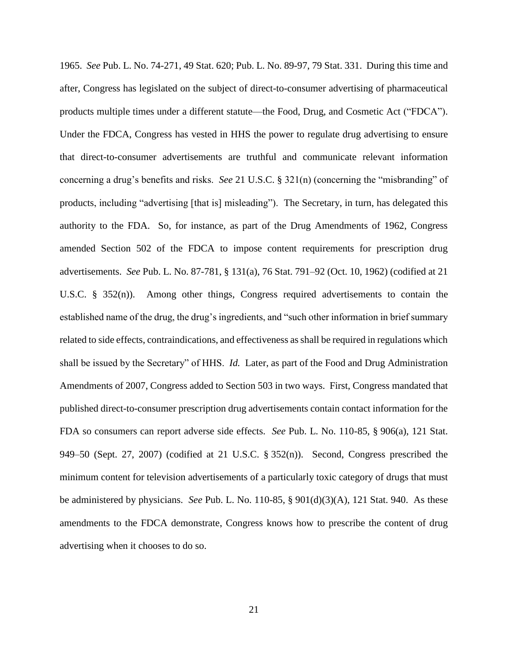1965. *See* Pub. L. No. 74-271, 49 Stat. 620; Pub. L. No. 89-97, 79 Stat. 331. During this time and after, Congress has legislated on the subject of direct-to-consumer advertising of pharmaceutical products multiple times under a different statute—the Food, Drug, and Cosmetic Act ("FDCA"). Under the FDCA, Congress has vested in HHS the power to regulate drug advertising to ensure that direct-to-consumer advertisements are truthful and communicate relevant information concerning a drug's benefits and risks. *See* 21 U.S.C. § 321(n) (concerning the "misbranding" of products, including "advertising [that is] misleading"). The Secretary, in turn, has delegated this authority to the FDA. So, for instance, as part of the Drug Amendments of 1962, Congress amended Section 502 of the FDCA to impose content requirements for prescription drug advertisements. *See* Pub. L. No. 87-781, § 131(a), 76 Stat. 791–92 (Oct. 10, 1962) (codified at 21 U.S.C. § 352(n)). Among other things, Congress required advertisements to contain the established name of the drug, the drug's ingredients, and "such other information in brief summary related to side effects, contraindications, and effectiveness as shall be required in regulations which shall be issued by the Secretary" of HHS. *Id.* Later, as part of the Food and Drug Administration Amendments of 2007, Congress added to Section 503 in two ways. First, Congress mandated that published direct-to-consumer prescription drug advertisements contain contact information for the FDA so consumers can report adverse side effects. *See* Pub. L. No. 110-85, § 906(a), 121 Stat. 949–50 (Sept. 27, 2007) (codified at 21 U.S.C. § 352(n)). Second, Congress prescribed the minimum content for television advertisements of a particularly toxic category of drugs that must be administered by physicians. *See* Pub. L. No. 110-85, § 901(d)(3)(A), 121 Stat. 940. As these amendments to the FDCA demonstrate, Congress knows how to prescribe the content of drug advertising when it chooses to do so.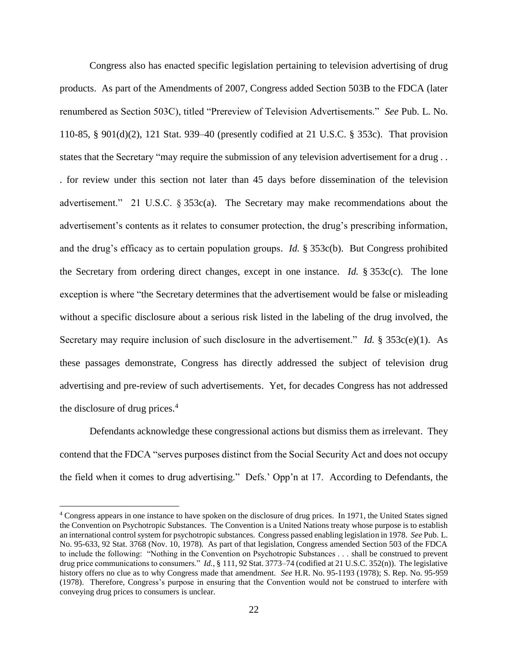Congress also has enacted specific legislation pertaining to television advertising of drug products. As part of the Amendments of 2007, Congress added Section 503B to the FDCA (later renumbered as Section 503C), titled "Prereview of Television Advertisements." *See* Pub. L. No. 110-85, § 901(d)(2), 121 Stat. 939–40 (presently codified at 21 U.S.C. § 353c). That provision states that the Secretary "may require the submission of any television advertisement for a drug . . . for review under this section not later than 45 days before dissemination of the television advertisement." 21 U.S.C. § 353c(a). The Secretary may make recommendations about the advertisement's contents as it relates to consumer protection, the drug's prescribing information, and the drug's efficacy as to certain population groups. *Id.* § 353c(b). But Congress prohibited the Secretary from ordering direct changes, except in one instance. *Id.* § 353c(c). The lone exception is where "the Secretary determines that the advertisement would be false or misleading without a specific disclosure about a serious risk listed in the labeling of the drug involved, the Secretary may require inclusion of such disclosure in the advertisement." *Id.*  $\frac{8}{3}$  353c(e)(1). As these passages demonstrate, Congress has directly addressed the subject of television drug advertising and pre-review of such advertisements. Yet, for decades Congress has not addressed the disclosure of drug prices. $4$ 

Defendants acknowledge these congressional actions but dismiss them as irrelevant. They contend that the FDCA "serves purposes distinct from the Social Security Act and does not occupy the field when it comes to drug advertising." Defs.' Opp'n at 17. According to Defendants, the

 $\overline{\phantom{a}}$ 

<sup>&</sup>lt;sup>4</sup> Congress appears in one instance to have spoken on the disclosure of drug prices. In 1971, the United States signed the Convention on Psychotropic Substances. The Convention is a United Nations treaty whose purpose is to establish an international control system for psychotropic substances. Congress passed enabling legislation in 1978. *See* Pub. L. No. 95-633, 92 Stat. 3768 (Nov. 10, 1978). As part of that legislation, Congress amended Section 503 of the FDCA to include the following: "Nothing in the Convention on Psychotropic Substances . . . shall be construed to prevent drug price communications to consumers." *Id.*, § 111, 92 Stat. 3773–74 (codified at 21 U.S.C. 352(n)). The legislative history offers no clue as to why Congress made that amendment. *See* H.R. No. 95-1193 (1978); S. Rep. No. 95-959 (1978). Therefore, Congress's purpose in ensuring that the Convention would not be construed to interfere with conveying drug prices to consumers is unclear.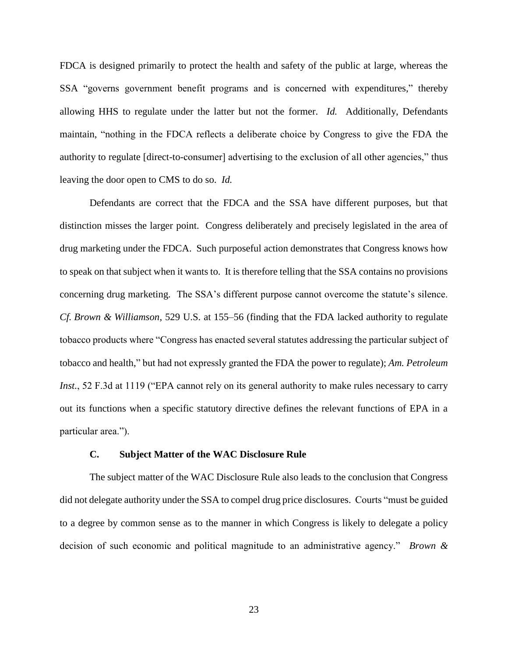FDCA is designed primarily to protect the health and safety of the public at large, whereas the SSA "governs government benefit programs and is concerned with expenditures," thereby allowing HHS to regulate under the latter but not the former. *Id.* Additionally, Defendants maintain, "nothing in the FDCA reflects a deliberate choice by Congress to give the FDA the authority to regulate [direct-to-consumer] advertising to the exclusion of all other agencies," thus leaving the door open to CMS to do so. *Id.*

Defendants are correct that the FDCA and the SSA have different purposes, but that distinction misses the larger point. Congress deliberately and precisely legislated in the area of drug marketing under the FDCA. Such purposeful action demonstrates that Congress knows how to speak on that subject when it wants to. It is therefore telling that the SSA contains no provisions concerning drug marketing. The SSA's different purpose cannot overcome the statute's silence. *Cf. Brown & Williamson*, 529 U.S. at 155–56 (finding that the FDA lacked authority to regulate tobacco products where "Congress has enacted several statutes addressing the particular subject of tobacco and health," but had not expressly granted the FDA the power to regulate); *Am. Petroleum Inst.*, 52 F.3d at 1119 ("EPA cannot rely on its general authority to make rules necessary to carry out its functions when a specific statutory directive defines the relevant functions of EPA in a particular area.").

# **C. Subject Matter of the WAC Disclosure Rule**

The subject matter of the WAC Disclosure Rule also leads to the conclusion that Congress did not delegate authority under the SSA to compel drug price disclosures. Courts "must be guided to a degree by common sense as to the manner in which Congress is likely to delegate a policy decision of such economic and political magnitude to an administrative agency." *Brown &*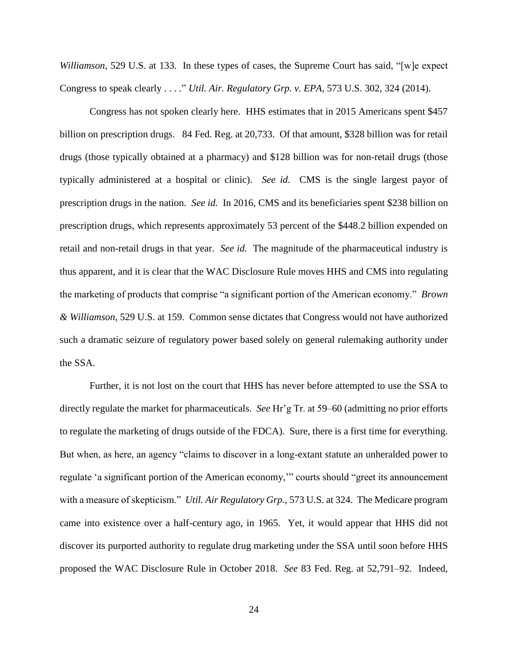*Williamson*, 529 U.S. at 133. In these types of cases, the Supreme Court has said, "[w]e expect Congress to speak clearly . . . ." *Util. Air. Regulatory Grp. v. EPA*, 573 U.S. 302, 324 (2014).

Congress has not spoken clearly here. HHS estimates that in 2015 Americans spent \$457 billion on prescription drugs. 84 Fed. Reg. at 20,733. Of that amount, \$328 billion was for retail drugs (those typically obtained at a pharmacy) and \$128 billion was for non-retail drugs (those typically administered at a hospital or clinic). *See id.* CMS is the single largest payor of prescription drugs in the nation. *See id.* In 2016, CMS and its beneficiaries spent \$238 billion on prescription drugs, which represents approximately 53 percent of the \$448.2 billion expended on retail and non-retail drugs in that year. *See id.* The magnitude of the pharmaceutical industry is thus apparent, and it is clear that the WAC Disclosure Rule moves HHS and CMS into regulating the marketing of products that comprise "a significant portion of the American economy." *Brown & Williamson*, 529 U.S. at 159. Common sense dictates that Congress would not have authorized such a dramatic seizure of regulatory power based solely on general rulemaking authority under the SSA.

Further, it is not lost on the court that HHS has never before attempted to use the SSA to directly regulate the market for pharmaceuticals. *See* Hr'g Tr. at 59–60 (admitting no prior efforts to regulate the marketing of drugs outside of the FDCA). Sure, there is a first time for everything. But when, as here, an agency "claims to discover in a long-extant statute an unheralded power to regulate 'a significant portion of the American economy,'" courts should "greet its announcement with a measure of skepticism." *Util. Air Regulatory Grp.*, 573 U.S. at 324. The Medicare program came into existence over a half-century ago, in 1965. Yet, it would appear that HHS did not discover its purported authority to regulate drug marketing under the SSA until soon before HHS proposed the WAC Disclosure Rule in October 2018. *See* 83 Fed. Reg. at 52,791–92. Indeed,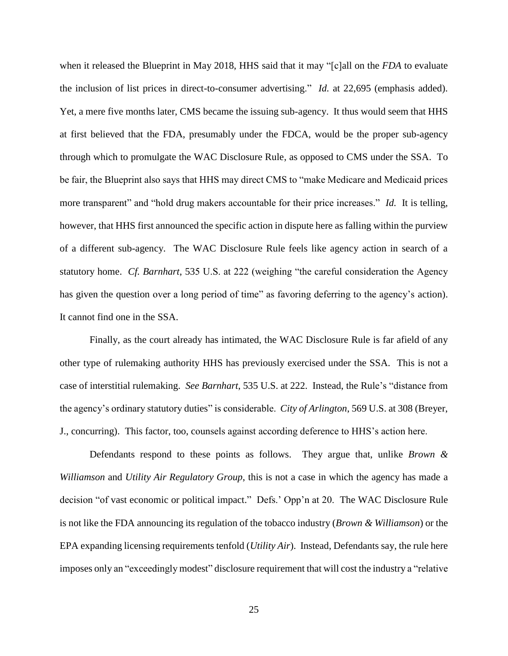when it released the Blueprint in May 2018, HHS said that it may "[c]all on the *FDA* to evaluate the inclusion of list prices in direct-to-consumer advertising." *Id.* at 22,695 (emphasis added). Yet, a mere five months later, CMS became the issuing sub-agency. It thus would seem that HHS at first believed that the FDA, presumably under the FDCA, would be the proper sub-agency through which to promulgate the WAC Disclosure Rule, as opposed to CMS under the SSA. To be fair, the Blueprint also says that HHS may direct CMS to "make Medicare and Medicaid prices more transparent" and "hold drug makers accountable for their price increases." *Id.* It is telling, however, that HHS first announced the specific action in dispute here as falling within the purview of a different sub-agency. The WAC Disclosure Rule feels like agency action in search of a statutory home. *Cf. Barnhart*, 535 U.S. at 222 (weighing "the careful consideration the Agency has given the question over a long period of time" as favoring deferring to the agency's action). It cannot find one in the SSA.

Finally, as the court already has intimated, the WAC Disclosure Rule is far afield of any other type of rulemaking authority HHS has previously exercised under the SSA. This is not a case of interstitial rulemaking. *See Barnhart*, 535 U.S. at 222. Instead, the Rule's "distance from the agency's ordinary statutory duties" is considerable. *City of Arlington*, 569 U.S. at 308 (Breyer, J., concurring). This factor, too, counsels against according deference to HHS's action here.

Defendants respond to these points as follows. They argue that, unlike *Brown & Williamson* and *Utility Air Regulatory Group*, this is not a case in which the agency has made a decision "of vast economic or political impact." Defs.' Opp'n at 20. The WAC Disclosure Rule is not like the FDA announcing its regulation of the tobacco industry (*Brown & Williamson*) or the EPA expanding licensing requirements tenfold (*Utility Air*). Instead, Defendants say, the rule here imposes only an "exceedingly modest" disclosure requirement that will cost the industry a "relative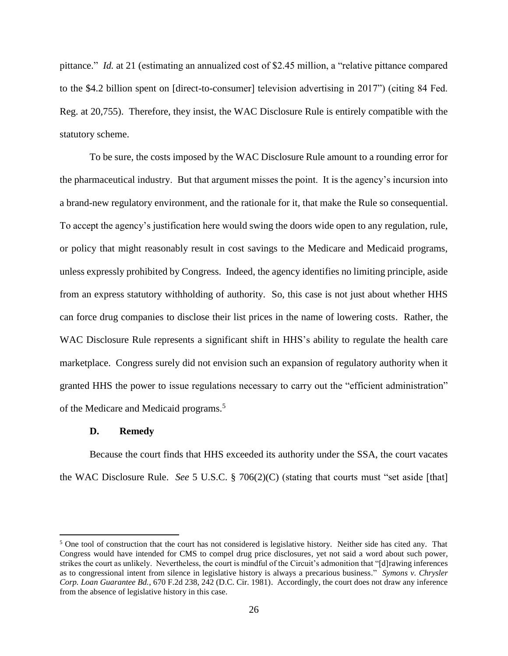pittance." *Id.* at 21 (estimating an annualized cost of \$2.45 million, a "relative pittance compared to the \$4.2 billion spent on [direct-to-consumer] television advertising in 2017") (citing 84 Fed. Reg. at 20,755). Therefore, they insist, the WAC Disclosure Rule is entirely compatible with the statutory scheme.

To be sure, the costs imposed by the WAC Disclosure Rule amount to a rounding error for the pharmaceutical industry. But that argument misses the point. It is the agency's incursion into a brand-new regulatory environment, and the rationale for it, that make the Rule so consequential. To accept the agency's justification here would swing the doors wide open to any regulation, rule, or policy that might reasonably result in cost savings to the Medicare and Medicaid programs, unless expressly prohibited by Congress. Indeed, the agency identifies no limiting principle, aside from an express statutory withholding of authority. So, this case is not just about whether HHS can force drug companies to disclose their list prices in the name of lowering costs. Rather, the WAC Disclosure Rule represents a significant shift in HHS's ability to regulate the health care marketplace. Congress surely did not envision such an expansion of regulatory authority when it granted HHS the power to issue regulations necessary to carry out the "efficient administration" of the Medicare and Medicaid programs.<sup>5</sup>

### **D. Remedy**

 $\overline{\phantom{a}}$ 

Because the court finds that HHS exceeded its authority under the SSA, the court vacates the WAC Disclosure Rule. *See* 5 U.S.C. § 706(2)(C) (stating that courts must "set aside [that]

<sup>5</sup> One tool of construction that the court has not considered is legislative history. Neither side has cited any. That Congress would have intended for CMS to compel drug price disclosures, yet not said a word about such power, strikes the court as unlikely. Nevertheless, the court is mindful of the Circuit's admonition that "[d]rawing inferences as to congressional intent from silence in legislative history is always a precarious business." *Symons v. Chrysler Corp. Loan Guarantee Bd.*, 670 F.2d 238, 242 (D.C. Cir. 1981). Accordingly, the court does not draw any inference from the absence of legislative history in this case.